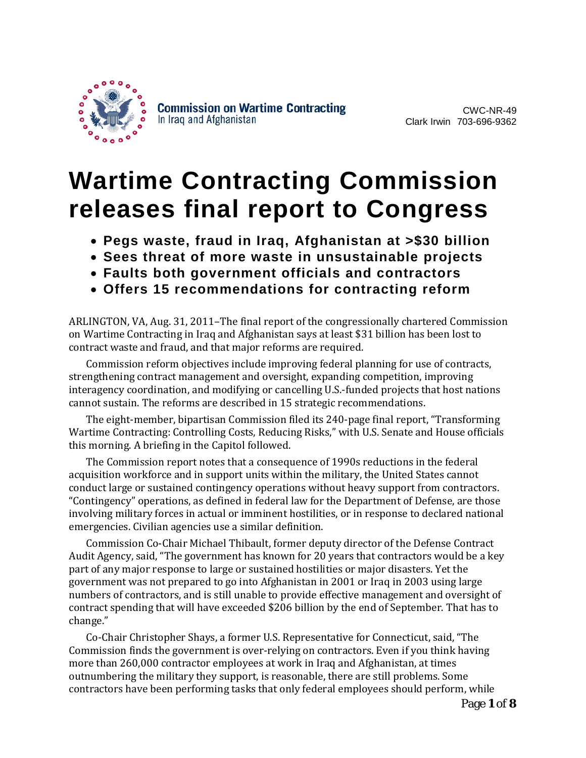

CWC-NR-49 Clark Irwin 703-696-9362

# **Wartime Contracting Commission releases final report to Congress**

- **Pegs waste, fraud in Iraq, Afghanistan at >\$30 billion**
- **Sees threat of more waste in unsustainable projects**
- **Faults both government officials and contractors**
- **Offers 15 recommendations for contracting reform**

ARLINGTON, VA, Aug. 31, 2011–The final report of the congressionally chartered Commission on Wartime Contracting in Iraq and Afghanistan says at least \$31 billion has been lost to contract waste and fraud, and that major reforms are required.

Commission reform objectives include improving federal planning for use of contracts, strengthening contract management and oversight, expanding competition, improving interagency coordination, and modifying or cancelling U.S.-funded projects that host nations cannot sustain. The reforms are described in 15 strategic recommendations.

The eight-member, bipartisan Commission filed its 240-page final report, "Transforming Wartime Contracting: Controlling Costs, Reducing Risks," with U.S. Senate and House officials this morning. A briefing in the Capitol followed.

The Commission report notes that a consequence of 1990s reductions in the federal acquisition workforce and in support units within the military, the United States cannot conduct large or sustained contingency operations without heavy support from contractors. "Contingency" operations, as defined in federal law for the Department of Defense, are those involving military forces in actual or imminent hostilities, or in response to declared national emergencies. Civilian agencies use a similar definition.

Commission Co-Chair Michael Thibault, former deputy director of the Defense Contract Audit Agency, said, "The government has known for 20 years that contractors would be a key part of any major response to large or sustained hostilities or major disasters. Yet the government was not prepared to go into Afghanistan in 2001 or Iraq in 2003 using large numbers of contractors, and is still unable to provide effective management and oversight of contract spending that will have exceeded \$206 billion by the end of September. That has to change."

Co-Chair Christopher Shays, a former U.S. Representative for Connecticut, said, "The Commission finds the government is over-relying on contractors. Even if you think having more than 260,000 contractor employees at work in Iraq and Afghanistan, at times outnumbering the military they support, is reasonable, there are still problems. Some contractors have been performing tasks that only federal employees should perform, while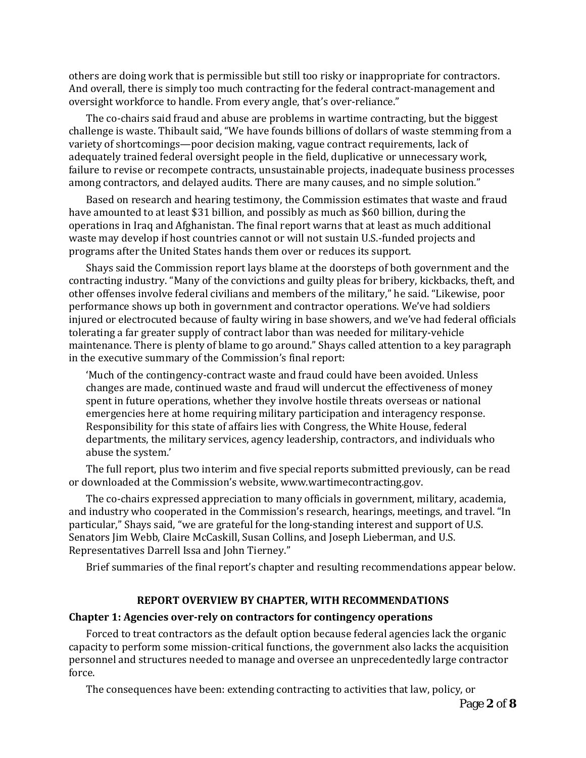others are doing work that is permissible but still too risky or inappropriate for contractors. And overall, there is simply too much contracting for the federal contract-management and oversight workforce to handle. From every angle, that's over-reliance."

The co-chairs said fraud and abuse are problems in wartime contracting, but the biggest challenge is waste. Thibault said, "We have founds billions of dollars of waste stemming from a variety of shortcomings—poor decision making, vague contract requirements, lack of adequately trained federal oversight people in the field, duplicative or unnecessary work, failure to revise or recompete contracts, unsustainable projects, inadequate business processes among contractors, and delayed audits. There are many causes, and no simple solution."

Based on research and hearing testimony, the Commission estimates that waste and fraud have amounted to at least \$31 billion, and possibly as much as \$60 billion, during the operations in Iraq and Afghanistan. The final report warns that at least as much additional waste may develop if host countries cannot or will not sustain U.S.-funded projects and programs after the United States hands them over or reduces its support.

Shays said the Commission report lays blame at the doorsteps of both government and the contracting industry. "Many of the convictions and guilty pleas for bribery, kickbacks, theft, and other offenses involve federal civilians and members of the military," he said. "Likewise, poor performance shows up both in government and contractor operations. We've had soldiers injured or electrocuted because of faulty wiring in base showers, and we've had federal officials tolerating a far greater supply of contract labor than was needed for military-vehicle maintenance. There is plenty of blame to go around." Shays called attention to a key paragraph in the executive summary of the Commission's final report:

'Much of the contingency-contract waste and fraud could have been avoided. Unless changes are made, continued waste and fraud will undercut the effectiveness of money spent in future operations, whether they involve hostile threats overseas or national emergencies here at home requiring military participation and interagency response. Responsibility for this state of affairs lies with Congress, the White House, federal departments, the military services, agency leadership, contractors, and individuals who abuse the system.'

The full report, plus two interim and five special reports submitted previously, can be read or downloaded at the Commission's website, www.wartimecontracting.gov.

The co-chairs expressed appreciation to many officials in government, military, academia, and industry who cooperated in the Commission's research, hearings, meetings, and travel. "In particular," Shays said, "we are grateful for the long-standing interest and support of U.S. Senators Jim Webb, Claire McCaskill, Susan Collins, and Joseph Lieberman, and U.S. Representatives Darrell Issa and John Tierney."

Brief summaries of the final report's chapter and resulting recommendations appear below.

## **REPORT OVERVIEW BY CHAPTER, WITH RECOMMENDATIONS**

#### **Chapter 1: Agencies over-rely on contractors for contingency operations**

Forced to treat contractors as the default option because federal agencies lack the organic capacity to perform some mission-critical functions, the government also lacks the acquisition personnel and structures needed to manage and oversee an unprecedentedly large contractor force.

The consequences have been: extending contracting to activities that law, policy, or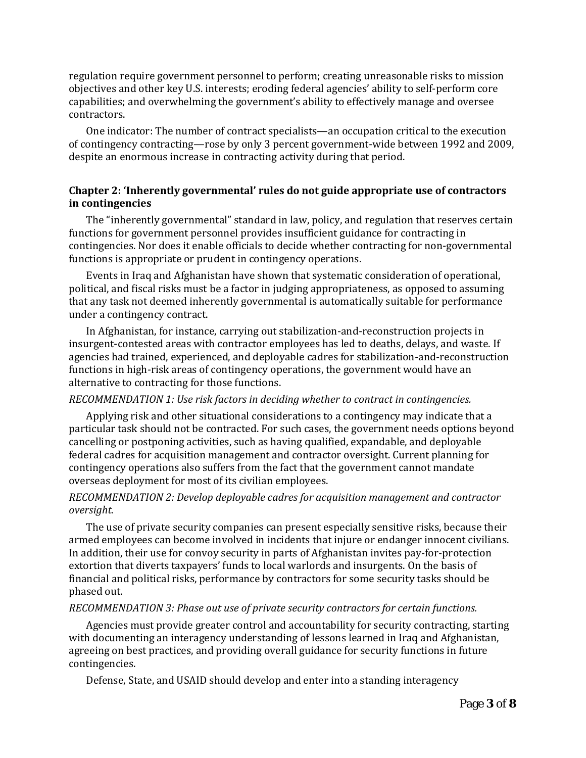regulation require government personnel to perform; creating unreasonable risks to mission objectives and other key U.S. interests; eroding federal agencies' ability to self-perform core capabilities; and overwhelming the government's ability to effectively manage and oversee contractors.

One indicator: The number of contract specialists—an occupation critical to the execution of contingency contracting—rose by only 3 percent government-wide between 1992 and 2009, despite an enormous increase in contracting activity during that period.

## **Chapter 2: 'Inherently governmental' rules do not guide appropriate use of contractors in contingencies**

The "inherently governmental" standard in law, policy, and regulation that reserves certain functions for government personnel provides insufficient guidance for contracting in contingencies. Nor does it enable officials to decide whether contracting for non-governmental functions is appropriate or prudent in contingency operations.

Events in Iraq and Afghanistan have shown that systematic consideration of operational, political, and fiscal risks must be a factor in judging appropriateness, as opposed to assuming that any task not deemed inherently governmental is automatically suitable for performance under a contingency contract.

In Afghanistan, for instance, carrying out stabilization-and-reconstruction projects in insurgent-contested areas with contractor employees has led to deaths, delays, and waste. If agencies had trained, experienced, and deployable cadres for stabilization-and-reconstruction functions in high-risk areas of contingency operations, the government would have an alternative to contracting for those functions.

#### *RECOMMENDATION 1: Use risk factors in deciding whether to contract in contingencies.*

Applying risk and other situational considerations to a contingency may indicate that a particular task should not be contracted. For such cases, the government needs options beyond cancelling or postponing activities, such as having qualified, expandable, and deployable federal cadres for acquisition management and contractor oversight. Current planning for contingency operations also suffers from the fact that the government cannot mandate overseas deployment for most of its civilian employees.

## *RECOMMENDATION 2: Develop deployable cadres for acquisition management and contractor oversight.*

The use of private security companies can present especially sensitive risks, because their armed employees can become involved in incidents that injure or endanger innocent civilians. In addition, their use for convoy security in parts of Afghanistan invites pay-for-protection extortion that diverts taxpayers' funds to local warlords and insurgents. On the basis of financial and political risks, performance by contractors for some security tasks should be phased out.

#### *RECOMMENDATION 3: Phase out use of private security contractors for certain functions.*

Agencies must provide greater control and accountability for security contracting, starting with documenting an interagency understanding of lessons learned in Iraq and Afghanistan, agreeing on best practices, and providing overall guidance for security functions in future contingencies.

Defense, State, and USAID should develop and enter into a standing interagency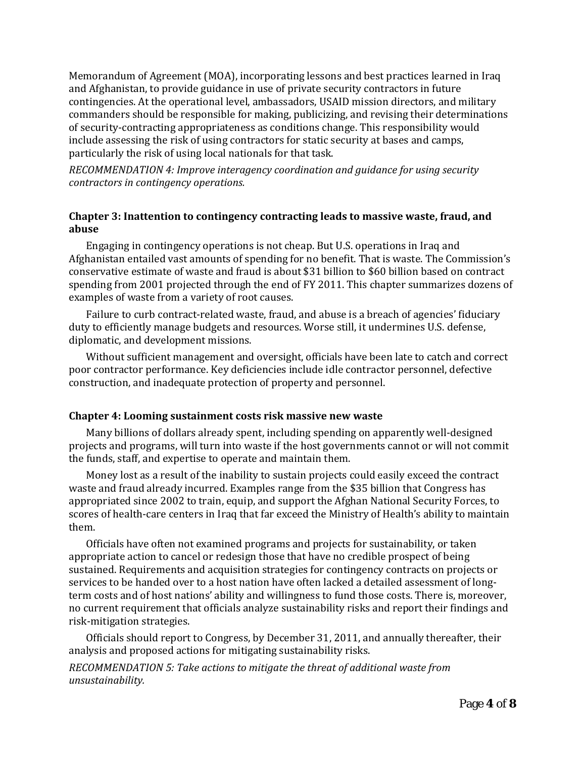Memorandum of Agreement (MOA), incorporating lessons and best practices learned in Iraq and Afghanistan, to provide guidance in use of private security contractors in future contingencies. At the operational level, ambassadors, USAID mission directors, and military commanders should be responsible for making, publicizing, and revising their determinations of security-contracting appropriateness as conditions change. This responsibility would include assessing the risk of using contractors for static security at bases and camps, particularly the risk of using local nationals for that task.

*RECOMMENDATION 4: Improve interagency coordination and guidance for using security contractors in contingency operations.*

# **Chapter 3: Inattention to contingency contracting leads to massive waste, fraud, and abuse**

Engaging in contingency operations is not cheap. But U.S. operations in Iraq and Afghanistan entailed vast amounts of spending for no benefit. That is waste. The Commission's conservative estimate of waste and fraud is about \$31 billion to \$60 billion based on contract spending from 2001 projected through the end of FY 2011. This chapter summarizes dozens of examples of waste from a variety of root causes.

Failure to curb contract-related waste, fraud, and abuse is a breach of agencies' fiduciary duty to efficiently manage budgets and resources. Worse still, it undermines U.S. defense, diplomatic, and development missions.

Without sufficient management and oversight, officials have been late to catch and correct poor contractor performance. Key deficiencies include idle contractor personnel, defective construction, and inadequate protection of property and personnel.

## **Chapter 4: Looming sustainment costs risk massive new waste**

Many billions of dollars already spent, including spending on apparently well-designed projects and programs, will turn into waste if the host governments cannot or will not commit the funds, staff, and expertise to operate and maintain them.

Money lost as a result of the inability to sustain projects could easily exceed the contract waste and fraud already incurred. Examples range from the \$35 billion that Congress has appropriated since 2002 to train, equip, and support the Afghan National Security Forces, to scores of health-care centers in Iraq that far exceed the Ministry of Health's ability to maintain them.

Officials have often not examined programs and projects for sustainability, or taken appropriate action to cancel or redesign those that have no credible prospect of being sustained. Requirements and acquisition strategies for contingency contracts on projects or services to be handed over to a host nation have often lacked a detailed assessment of longterm costs and of host nations' ability and willingness to fund those costs. There is, moreover, no current requirement that officials analyze sustainability risks and report their findings and risk-mitigation strategies.

Officials should report to Congress, by December 31, 2011, and annually thereafter, their analysis and proposed actions for mitigating sustainability risks.

*RECOMMENDATION 5: Take actions to mitigate the threat of additional waste from unsustainability.*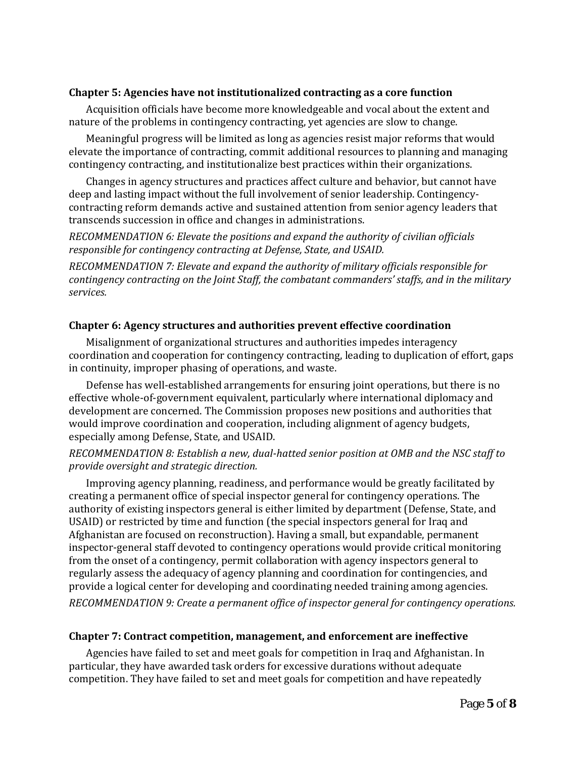## **Chapter 5: Agencies have not institutionalized contracting as a core function**

Acquisition officials have become more knowledgeable and vocal about the extent and nature of the problems in contingency contracting, yet agencies are slow to change.

Meaningful progress will be limited as long as agencies resist major reforms that would elevate the importance of contracting, commit additional resources to planning and managing contingency contracting, and institutionalize best practices within their organizations.

Changes in agency structures and practices affect culture and behavior, but cannot have deep and lasting impact without the full involvement of senior leadership. Contingencycontracting reform demands active and sustained attention from senior agency leaders that transcends succession in office and changes in administrations.

*RECOMMENDATION 6: Elevate the positions and expand the authority of civilian officials responsible for contingency contracting at Defense, State, and USAID.*

*RECOMMENDATION 7: Elevate and expand the authority of military officials responsible for contingency contracting on the Joint Staff, the combatant commanders' staffs, and in the military services.*

#### **Chapter 6: Agency structures and authorities prevent effective coordination**

Misalignment of organizational structures and authorities impedes interagency coordination and cooperation for contingency contracting, leading to duplication of effort, gaps in continuity, improper phasing of operations, and waste.

Defense has well-established arrangements for ensuring joint operations, but there is no effective whole-of-government equivalent, particularly where international diplomacy and development are concerned. The Commission proposes new positions and authorities that would improve coordination and cooperation, including alignment of agency budgets, especially among Defense, State, and USAID.

## *RECOMMENDATION 8: Establish a new, dual-hatted senior position at OMB and the NSC staff to provide oversight and strategic direction.*

Improving agency planning, readiness, and performance would be greatly facilitated by creating a permanent office of special inspector general for contingency operations. The authority of existing inspectors general is either limited by department (Defense, State, and USAID) or restricted by time and function (the special inspectors general for Iraq and Afghanistan are focused on reconstruction). Having a small, but expandable, permanent inspector-general staff devoted to contingency operations would provide critical monitoring from the onset of a contingency, permit collaboration with agency inspectors general to regularly assess the adequacy of agency planning and coordination for contingencies, and provide a logical center for developing and coordinating needed training among agencies. *RECOMMENDATION 9: Create a permanent office of inspector general for contingency operations.*

#### **Chapter 7: Contract competition, management, and enforcement are ineffective**

Agencies have failed to set and meet goals for competition in Iraq and Afghanistan. In particular, they have awarded task orders for excessive durations without adequate competition. They have failed to set and meet goals for competition and have repeatedly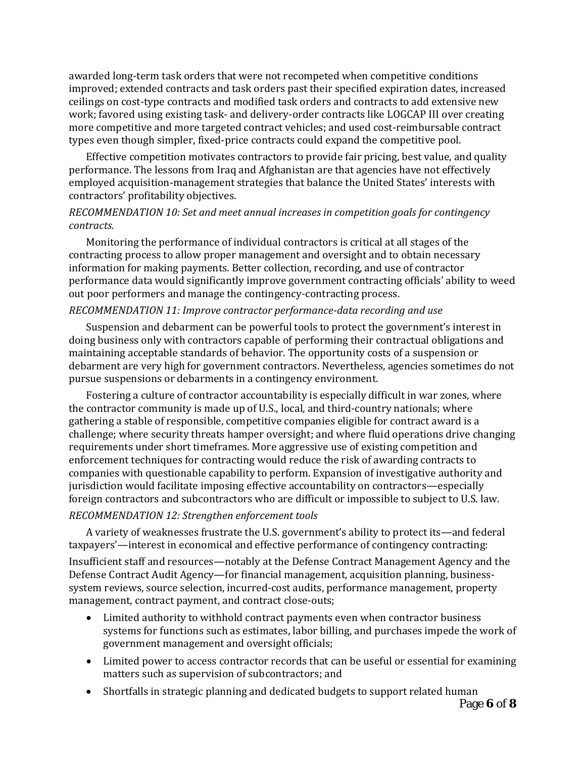awarded long-term task orders that were not recompeted when competitive conditions improved; extended contracts and task orders past their specified expiration dates, increased ceilings on cost-type contracts and modified task orders and contracts to add extensive new work; favored using existing task- and delivery-order contracts like LOGCAP III over creating more competitive and more targeted contract vehicles; and used cost-reimbursable contract types even though simpler, fixed-price contracts could expand the competitive pool.

Effective competition motivates contractors to provide fair pricing, best value, and quality performance. The lessons from Iraq and Afghanistan are that agencies have not effectively employed acquisition-management strategies that balance the United States' interests with contractors' profitability objectives.

## *RECOMMENDATION 10: Set and meet annual increases in competition goals for contingency contracts.*

Monitoring the performance of individual contractors is critical at all stages of the contracting process to allow proper management and oversight and to obtain necessary information for making payments. Better collection, recording, and use of contractor performance data would significantly improve government contracting officials' ability to weed out poor performers and manage the contingency-contracting process.

## *RECOMMENDATION 11: Improve contractor performance-data recording and use*

Suspension and debarment can be powerful tools to protect the government's interest in doing business only with contractors capable of performing their contractual obligations and maintaining acceptable standards of behavior. The opportunity costs of a suspension or debarment are very high for government contractors. Nevertheless, agencies sometimes do not pursue suspensions or debarments in a contingency environment.

Fostering a culture of contractor accountability is especially difficult in war zones, where the contractor community is made up of U.S., local, and third-country nationals; where gathering a stable of responsible, competitive companies eligible for contract award is a challenge; where security threats hamper oversight; and where fluid operations drive changing requirements under short timeframes. More aggressive use of existing competition and enforcement techniques for contracting would reduce the risk of awarding contracts to companies with questionable capability to perform. Expansion of investigative authority and jurisdiction would facilitate imposing effective accountability on contractors—especially foreign contractors and subcontractors who are difficult or impossible to subject to U.S. law.

## *RECOMMENDATION 12: Strengthen enforcement tools*

A variety of weaknesses frustrate the U.S. government's ability to protect its—and federal taxpayers'—interest in economical and effective performance of contingency contracting:

Insufficient staff and resources—notably at the Defense Contract Management Agency and the Defense Contract Audit Agency—for financial management, acquisition planning, businesssystem reviews, source selection, incurred-cost audits, performance management, property management, contract payment, and contract close-outs;

- Limited authority to withhold contract payments even when contractor business systems for functions such as estimates, labor billing, and purchases impede the work of government management and oversight officials;
- Limited power to access contractor records that can be useful or essential for examining matters such as supervision of subcontractors; and
- Shortfalls in strategic planning and dedicated budgets to support related human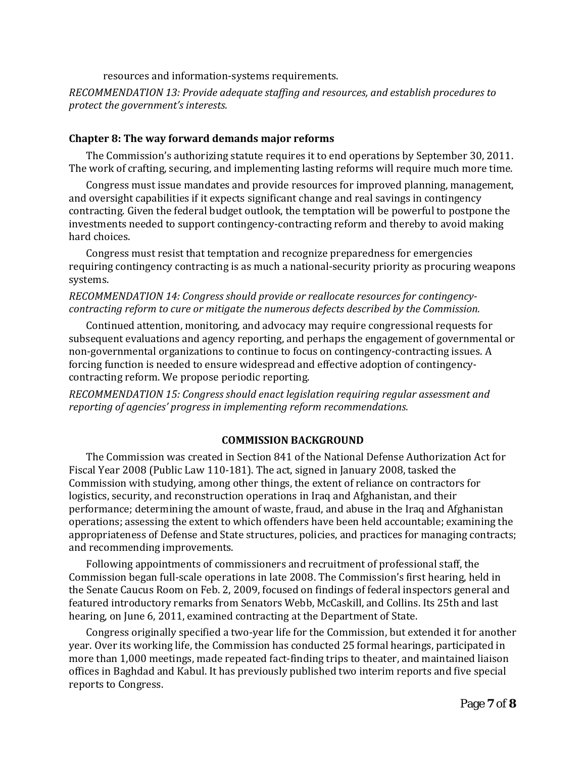resources and information-systems requirements.

*RECOMMENDATION 13: Provide adequate staffing and resources, and establish procedures to protect the government's interests.*

#### **Chapter 8: The way forward demands major reforms**

The Commission's authorizing statute requires it to end operations by September 30, 2011. The work of crafting, securing, and implementing lasting reforms will require much more time.

Congress must issue mandates and provide resources for improved planning, management, and oversight capabilities if it expects significant change and real savings in contingency contracting. Given the federal budget outlook, the temptation will be powerful to postpone the investments needed to support contingency-contracting reform and thereby to avoid making hard choices.

Congress must resist that temptation and recognize preparedness for emergencies requiring contingency contracting is as much a national-security priority as procuring weapons systems.

# *RECOMMENDATION 14: Congress should provide or reallocate resources for contingencycontracting reform to cure or mitigate the numerous defects described by the Commission.*

Continued attention, monitoring, and advocacy may require congressional requests for subsequent evaluations and agency reporting, and perhaps the engagement of governmental or non-governmental organizations to continue to focus on contingency-contracting issues. A forcing function is needed to ensure widespread and effective adoption of contingencycontracting reform. We propose periodic reporting.

*RECOMMENDATION 15: Congress should enact legislation requiring regular assessment and reporting of agencies' progress in implementing reform recommendations.*

## **COMMISSION BACKGROUND**

The Commission was created in Section 841 of the National Defense Authorization Act for Fiscal Year 2008 (Public Law 110-181). The act, signed in January 2008, tasked the Commission with studying, among other things, the extent of reliance on contractors for logistics, security, and reconstruction operations in Iraq and Afghanistan, and their performance; determining the amount of waste, fraud, and abuse in the Iraq and Afghanistan operations; assessing the extent to which offenders have been held accountable; examining the appropriateness of Defense and State structures, policies, and practices for managing contracts; and recommending improvements.

Following appointments of commissioners and recruitment of professional staff, the Commission began full-scale operations in late 2008. The Commission's first hearing, held in the Senate Caucus Room on Feb. 2, 2009, focused on findings of federal inspectors general and featured introductory remarks from Senators Webb, McCaskill, and Collins. Its 25th and last hearing, on June 6, 2011, examined contracting at the Department of State.

Congress originally specified a two-year life for the Commission, but extended it for another year. Over its working life, the Commission has conducted 25 formal hearings, participated in more than 1,000 meetings, made repeated fact-finding trips to theater, and maintained liaison offices in Baghdad and Kabul. It has previously published two interim reports and five special reports to Congress.